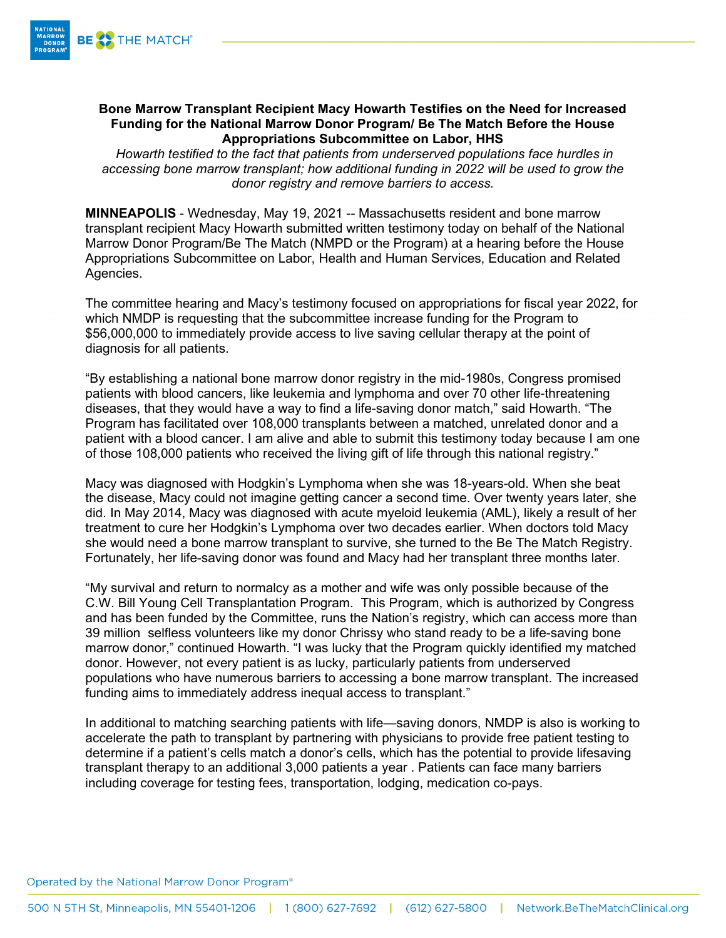

## **Bone Marrow Transplant Recipient Macy Howarth Testifies on the Need for Increased Funding for the National Marrow Donor Program/ Be The Match Before the House Appropriations Subcommittee on Labor, HHS**

*Howarth testified to the fact that patients from underserved populations face hurdles in accessing bone marrow transplant; how additional funding in 2022 will be used to grow the donor registry and remove barriers to access.*

**MINNEAPOLIS** - Wednesday, May 19, 2021 -- Massachusetts resident and bone marrow transplant recipient Macy Howarth submitted written testimony today on behalf of the National Marrow Donor Program/Be The Match (NMPD or the Program) at a hearing before the House Appropriations Subcommittee on Labor, Health and Human Services, Education and Related Agencies.

The committee hearing and Macy's testimony focused on appropriations for fiscal year 2022, for which NMDP is requesting that the subcommittee increase funding for the Program to \$56,000,000 to immediately provide access to live saving cellular therapy at the point of diagnosis for all patients.

"By establishing a national bone marrow donor registry in the mid-1980s, Congress promised patients with blood cancers, like leukemia and lymphoma and over 70 other life-threatening diseases, that they would have a way to find a life-saving donor match," said Howarth. "The Program has facilitated over 108,000 transplants between a matched, unrelated donor and a patient with a blood cancer. I am alive and able to submit this testimony today because I am one of those 108,000 patients who received the living gift of life through this national registry."

Macy was diagnosed with Hodgkin's Lymphoma when she was 18-years-old. When she beat the disease, Macy could not imagine getting cancer a second time. Over twenty years later, she did. In May 2014, Macy was diagnosed with acute myeloid leukemia (AML), likely a result of her treatment to cure her Hodgkin's Lymphoma over two decades earlier. When doctors told Macy she would need a bone marrow transplant to survive, she turned to the Be The Match Registry. Fortunately, her life-saving donor was found and Macy had her transplant three months later.

"My survival and return to normalcy as a mother and wife was only possible because of the C.W. Bill Young Cell Transplantation Program. This Program, which is authorized by Congress and has been funded by the Committee, runs the Nation's registry, which can access more than 39 million selfless volunteers like my donor Chrissy who stand ready to be a life-saving bone marrow donor," continued Howarth. "I was lucky that the Program quickly identified my matched donor. However, not every patient is as lucky, particularly patients from underserved populations who have numerous barriers to accessing a bone marrow transplant. The increased funding aims to immediately address inequal access to transplant."

In additional to matching searching patients with life—saving donors, NMDP is also is working to accelerate the path to transplant by partnering with physicians to provide free patient testing to determine if a patient's cells match a donor's cells, which has the potential to provide lifesaving transplant therapy to an additional 3,000 patients a year . Patients can face many barriers including coverage for testing fees, transportation, lodging, medication co-pays.

Operated by the National Marrow Donor Program<sup>®</sup>